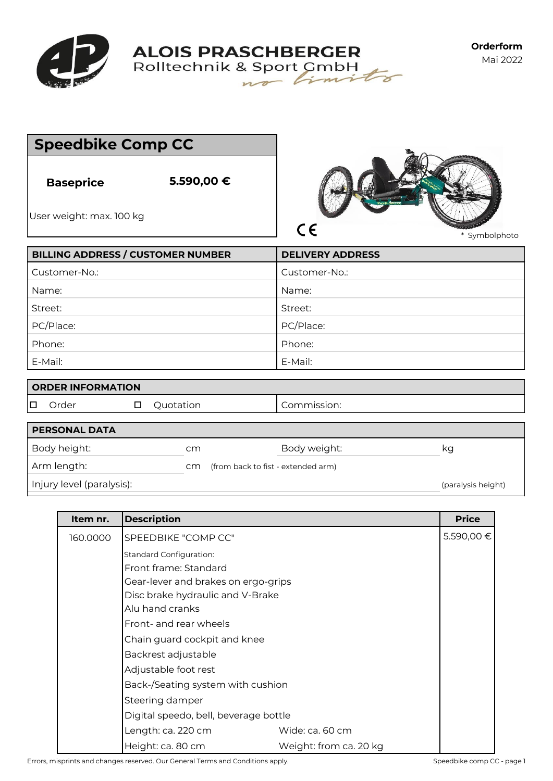

**ALOIS PRASCHBERGER**<br>Rolltechnik & Sport CmbH

**Orderform** Mai 2022

|                                              | <b>Speedbike Comp CC</b>                 |                             |
|----------------------------------------------|------------------------------------------|-----------------------------|
| <b>Baseprice</b><br>User weight: max. 100 kg | 5.590,00 €                               | $\epsilon$<br>* Symbolphoto |
|                                              | <b>BILLING ADDRESS / CUSTOMER NUMBER</b> | <b>DELIVERY ADDRESS</b>     |
| Customer-No.:                                |                                          | Customer-No.:               |
| Name:                                        |                                          | Name:                       |
| Street:                                      |                                          | Street:                     |
| PC/Place:                                    |                                          | PC/Place:                   |
| Phone:                                       |                                          | Phone:                      |
| E-Mail:                                      |                                          | E-Mail:                     |
| <b>ORDER INFORMATION</b>                     |                                          |                             |
| □<br>Order                                   | Quotation<br>□                           | Commission:                 |

| Order                     | Quotation | Commission:                        |                    |
|---------------------------|-----------|------------------------------------|--------------------|
| <b>PERSONAL DATA</b>      |           |                                    |                    |
| Body height:              | cm        | Body weight:                       | κg                 |
| Arm length:               | cm        | (from back to fist - extended arm) |                    |
| Injury level (paralysis): |           |                                    | (paralysis height) |

| Item nr. | <b>Description</b>                    |                        | <b>Price</b> |  |
|----------|---------------------------------------|------------------------|--------------|--|
| 160.0000 | SPEEDBIKE "COMP CC"                   |                        | 5.590,00 €   |  |
|          | <b>Standard Configuration:</b>        |                        |              |  |
|          | Front frame: Standard                 |                        |              |  |
|          | Gear-lever and brakes on ergo-grips   |                        |              |  |
|          | Disc brake hydraulic and V-Brake      |                        |              |  |
|          | Alu hand cranks                       |                        |              |  |
|          | Front- and rear wheels                |                        |              |  |
|          | Chain guard cockpit and knee          |                        |              |  |
|          | Backrest adjustable                   |                        |              |  |
|          | Adjustable foot rest                  |                        |              |  |
|          | Back-/Seating system with cushion     |                        |              |  |
|          | Steering damper                       |                        |              |  |
|          | Digital speedo, bell, beverage bottle |                        |              |  |
|          | Length: ca. 220 cm                    | Wide: ca. 60 cm        |              |  |
|          | Height: ca. 80 cm                     | Weight: from ca. 20 kg |              |  |

Errors, misprints and changes reserved. Our General Terms and Conditions apply. Speedbike comp CC - page 1

 $\overline{\phantom{a}}$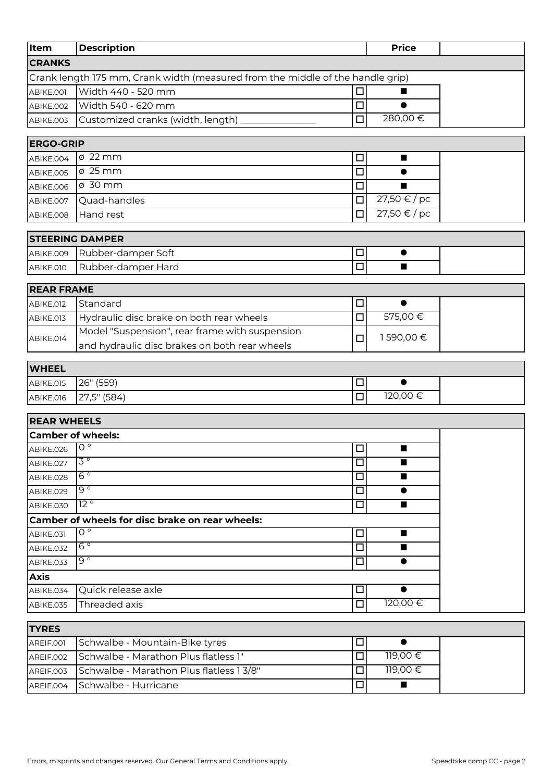| Item                          | <b>Description</b>                                                             |        | <b>Price</b>         |  |
|-------------------------------|--------------------------------------------------------------------------------|--------|----------------------|--|
| <b>CRANKS</b>                 |                                                                                |        |                      |  |
|                               | Crank length 175 mm, Crank width (measured from the middle of the handle grip) |        |                      |  |
| ABIKE.001                     | Width 440 - 520 mm                                                             | □      | ш                    |  |
| ABIKE.002                     | Width 540 - 620 mm                                                             | $\Box$ | $\bullet$            |  |
| ABIKE.003                     | Customized cranks (width, length)                                              | $\Box$ | 280,00€              |  |
|                               |                                                                                |        |                      |  |
| <b>ERGO-GRIP</b><br>ABIKE.004 | $\varnothing$ 22 mm                                                            | □      | ш                    |  |
|                               | $\phi$ 25 mm                                                                   | $\Box$ | $\bullet$            |  |
| ABIKE.005<br>ABIKE.006        | ø 30 mm                                                                        | $\Box$ |                      |  |
| ABIKE.007                     | Quad-handles                                                                   | $\Box$ | 27,50 €/pc           |  |
| ABIKE.008                     | Hand rest                                                                      | $\Box$ | 27,50 € / pc         |  |
|                               |                                                                                |        |                      |  |
|                               | <b>STEERING DAMPER</b>                                                         |        |                      |  |
| ABIKE.009                     | Rubber-damper Soft                                                             | $\Box$ | $\bullet$            |  |
| ABIKE.010                     | Rubber-damper Hard                                                             | $\Box$ | п                    |  |
| <b>REAR FRAME</b>             |                                                                                |        |                      |  |
| ABIKE.012                     | Standard                                                                       | □      | $\bullet$            |  |
| ABIKE.013                     | Hydraulic disc brake on both rear wheels                                       | $\Box$ | 575,00€              |  |
|                               | Model "Suspension", rear frame with suspension                                 |        |                      |  |
| ABIKE.014                     | and hydraulic disc brakes on both rear wheels                                  | □      | 1590,00€             |  |
|                               |                                                                                |        |                      |  |
| <b>WHEEL</b>                  |                                                                                |        |                      |  |
| ABIKE.015                     | 26" (559)                                                                      | $\Box$ | $\bullet$<br>120,00€ |  |
| ABIKE.016                     | 27,5" (584)                                                                    | □      |                      |  |
| <b>REAR WHEELS</b>            |                                                                                |        |                      |  |
|                               | <b>Camber of wheels:</b>                                                       |        |                      |  |
| ABIKE.026                     | $0^{\circ}$                                                                    | □      | п                    |  |
| ABIKE.027                     | $3^{\circ}$                                                                    | □      | ш                    |  |
| ABIKE.028                     | $6^{\circ}$                                                                    | □      |                      |  |
| ABIKE.029                     | $9^{\circ}$                                                                    | □      | $\bullet$            |  |
| ABIKE.030                     | $12^{\circ}$                                                                   | $\Box$ | $\blacksquare$       |  |
|                               | Camber of wheels for disc brake on rear wheels:                                |        |                      |  |
| ABIKE.031                     | $0^{\circ}$                                                                    | $\Box$ | $\blacksquare$       |  |
| ABIKE.032                     | $6^{\circ}$                                                                    | $\Box$ | $\blacksquare$       |  |
| ABIKE.033                     | $\overline{9}$ $\circ$                                                         | $\Box$ | $\bullet$            |  |
| <b>Axis</b>                   |                                                                                |        |                      |  |
| ABIKE.034                     | Quick release axle                                                             | ப      |                      |  |
| ABIKE.035                     | Threaded axis                                                                  | $\Box$ | 120,00€              |  |
| <b>TYRES</b>                  |                                                                                |        |                      |  |
| AREIF.001                     | Schwalbe - Mountain-Bike tyres                                                 | □      | $\bullet$            |  |
| AREIF.002                     | Schwalbe - Marathon Plus flatless 1"                                           | $\Box$ | 119,00€              |  |
| AREIF.003                     | Schwalbe - Marathon Plus flatless 1 3/8"                                       | $\Box$ | 119,00€              |  |
| AREIF.004                     | Schwalbe - Hurricane                                                           | □      | $\blacksquare$       |  |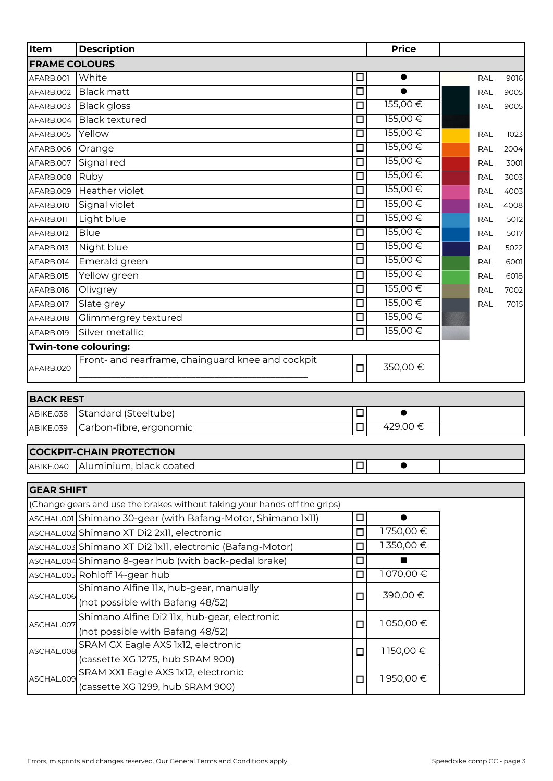| Item                 | <b>Description</b>                                                        |                      | <b>Price</b> |            |      |
|----------------------|---------------------------------------------------------------------------|----------------------|--------------|------------|------|
| <b>FRAME COLOURS</b> |                                                                           |                      |              |            |      |
| AFARB.001            | White                                                                     | $\Box$               | $\bullet$    | <b>RAL</b> | 9016 |
| AFARB.002            | <b>Black matt</b>                                                         | $\overline{\Box}$    | $\bullet$    | <b>RAL</b> | 9005 |
| AFARB.003            | <b>Black gloss</b>                                                        | $\Box$               | 155,00€      | RAL        | 9005 |
| AFARB.004            | <b>Black textured</b>                                                     | $\Box$               | 155,00€      |            |      |
| AFARB.005            | Yellow                                                                    | $\Box$               | 155,00€      | <b>RAL</b> | 1023 |
| AFARB.006            | Orange                                                                    | $\Box$               | 155,00€      | <b>RAL</b> | 2004 |
| AFARB.007            | Signal red                                                                | $\Box$               | 155,00€      | <b>RAL</b> | 3001 |
| AFARB.008            | Ruby                                                                      | $\Box$               | 155,00€      | <b>RAL</b> | 3003 |
| AFARB.009            | Heather violet                                                            | $\Box$               | 155,00€      | RAL        | 4003 |
| AFARB.010            | Signal violet                                                             | □                    | 155,00€      | <b>RAL</b> | 4008 |
| AFARB.011            | Light blue                                                                | $\Box$               | 155,00€      | <b>RAL</b> | 5012 |
| AFARB.012            | <b>Blue</b>                                                               | $\Box$               | 155,00€      | <b>RAL</b> | 5017 |
| AFARB.013            | Night blue                                                                | $\Box$               | 155,00€      | <b>RAL</b> | 5022 |
| AFARB.014            | Emerald green                                                             | $\Box$               | 155,00€      | <b>RAL</b> | 6001 |
| AFARB.015            | Yellow green                                                              | $\overline{\square}$ | 155,00€      | <b>RAL</b> | 6018 |
| AFARB.016            | Olivgrey                                                                  | $\Box$               | 155,00€      | <b>RAL</b> | 7002 |
| AFARB.017            | Slate grey                                                                | □                    | 155,00€      | RAL        | 7015 |
| AFARB.018            | Glimmergrey textured                                                      | $\Box$               | 155,00€      |            |      |
| AFARB.019            | Silver metallic                                                           | □                    | 155,00€      |            |      |
|                      | Twin-tone colouring:                                                      |                      |              |            |      |
| AFARB.020            | Front- and rearframe, chainguard knee and cockpit                         | $\Box$               | 350,00€      |            |      |
| <b>BACK REST</b>     |                                                                           |                      |              |            |      |
| ABIKE.038            | Standard (Steeltube)                                                      | $\Box$               | $\bullet$    |            |      |
| ABIKE.039            | Carbon-fibre, ergonomic                                                   | $\Box$               | 429,00€      |            |      |
|                      | <b>COCKPIT-CHAIN PROTECTION</b>                                           |                      |              |            |      |
| ABIKE.040            | Aluminium, black coated                                                   | $\Box$               |              |            |      |
| <b>GEAR SHIFT</b>    |                                                                           |                      |              |            |      |
|                      | (Change gears and use the brakes without taking your hands off the grips) |                      |              |            |      |
|                      | ASCHAL.001 Shimano 30-gear (with Bafang-Motor, Shimano 1x11)              | $\Box$               | $\bullet$    |            |      |
|                      | ASCHAL.002 Shimano XT Di2 2x11, electronic                                | □                    | 1750,00€     |            |      |
|                      | ASCHAL.003 Shimano XT Di2 1x11, electronic (Bafang-Motor)                 | □                    | 1350,00€     |            |      |
|                      | ASCHAL.004 Shimano 8-gear hub (with back-pedal brake)                     | □                    | ■            |            |      |
|                      | ASCHAL.005 Rohloff 14-gear hub                                            | $\Box$               | 1070,00€     |            |      |
|                      | Shimano Alfine 11x, hub-gear, manually                                    |                      | 390,00€      |            |      |
| ASCHAL.006           | (not possible with Bafang 48/52)                                          | $\Box$               |              |            |      |
| ASCHAL.007           | Shimano Alfine Di2 11x, hub-gear, electronic                              | $\Box$               | 1050,00€     |            |      |
|                      | (not possible with Bafang 48/52)                                          |                      |              |            |      |
| ASCHAL.008           | SRAM GX Eagle AXS 1x12, electronic<br>(cassette XG 1275, hub SRAM 900)    | $\Box$               | 1150,00€     |            |      |

SRAM XX1 Eagle AXS 1x12, electronic (cassette XG 1299, hub SRAM 900)

ASCHAL.009

 $\Box$  1 950,00 €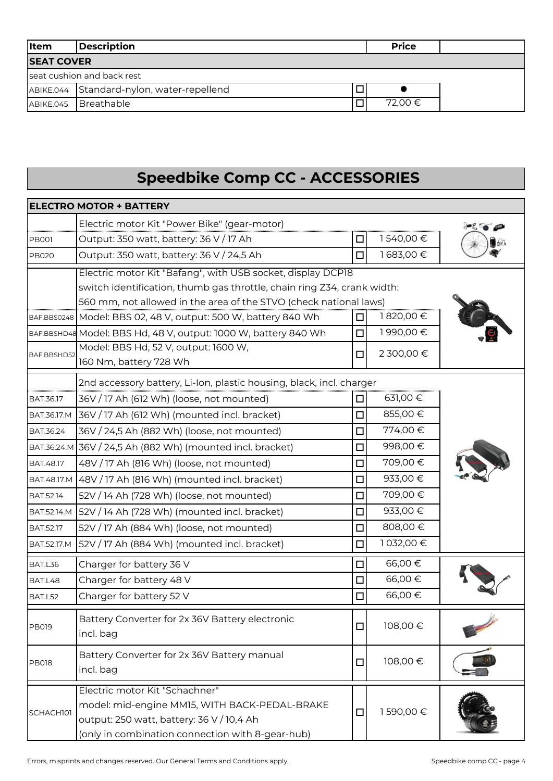| <b>I</b> tem               | <b>Description</b><br><b>Price</b>        |   |         |  |
|----------------------------|-------------------------------------------|---|---------|--|
| <b>SEAT COVER</b>          |                                           |   |         |  |
| seat cushion and back rest |                                           |   |         |  |
|                            | ABIKE.044 Standard-nylon, water-repellend | □ |         |  |
|                            | ABIKE.045 Breathable                      |   | 72,00 € |  |

## **Speedbike Comp CC - ACCESSORIES**

|                  | <b>ELECTRO MOTOR + BATTERY</b>                                                                                                                                                   |        |            |  |
|------------------|----------------------------------------------------------------------------------------------------------------------------------------------------------------------------------|--------|------------|--|
|                  | Electric motor Kit "Power Bike" (gear-motor)                                                                                                                                     |        |            |  |
| <b>PB001</b>     | Output: 350 watt, battery: 36 V / 17 Ah                                                                                                                                          | $\Box$ | 1540,00€   |  |
| <b>PB020</b>     | Output: 350 watt, battery: 36 V / 24,5 Ah                                                                                                                                        | $\Box$ | 1683,00€   |  |
|                  | Electric motor Kit "Bafang", with USB socket, display DCP18                                                                                                                      |        |            |  |
|                  | switch identification, thumb gas throttle, chain ring Z34, crank width:                                                                                                          |        |            |  |
|                  | 560 mm, not allowed in the area of the STVO (check national laws)                                                                                                                |        |            |  |
|                  | BAF.BBS0248   Model: BBS 02, 48 V, output: 500 W, battery 840 Wh                                                                                                                 | □      | 1820,00€   |  |
|                  | BAF.BBSHD48 Model: BBS Hd, 48 V, output: 1000 W, battery 840 Wh                                                                                                                  | $\Box$ | 1990,00€   |  |
| BAF.BBSHD52      | Model: BBS Hd, 52 V, output: 1600 W,<br>160 Nm, battery 728 Wh                                                                                                                   | $\Box$ | 2 300,00 € |  |
|                  | 2nd accessory battery, Li-Ion, plastic housing, black, incl. charger                                                                                                             |        |            |  |
| BAT.36.17        | 36V / 17 Ah (612 Wh) (loose, not mounted)                                                                                                                                        | □      | 631,00 €   |  |
| BAT.36.17.M      | 36V / 17 Ah (612 Wh) (mounted incl. bracket)                                                                                                                                     | □      | 855,00€    |  |
| BAT.36.24        | 36V / 24,5 Ah (882 Wh) (loose, not mounted)                                                                                                                                      | $\Box$ | 774,00€    |  |
|                  | BAT.36.24.M 36V / 24,5 Ah (882 Wh) (mounted incl. bracket)                                                                                                                       | $\Box$ | 998,00€    |  |
| BAT.48.17        | 48V / 17 Ah (816 Wh) (loose, not mounted)                                                                                                                                        | $\Box$ | 709,00€    |  |
| BAT.48.17.M      | 48V / 17 Ah (816 Wh) (mounted incl. bracket)                                                                                                                                     | □      | 933,00€    |  |
| BAT.52.14        | 52V / 14 Ah (728 Wh) (loose, not mounted)                                                                                                                                        | $\Box$ | 709,00€    |  |
| BAT.52.14.M      | 52V / 14 Ah (728 Wh) (mounted incl. bracket)                                                                                                                                     | $\Box$ | 933,00€    |  |
| <b>BAT.52.17</b> | 52V / 17 Ah (884 Wh) (loose, not mounted)                                                                                                                                        | $\Box$ | 808,00€    |  |
| BAT.52.17.M      | 52V / 17 Ah (884 Wh) (mounted incl. bracket)                                                                                                                                     | $\Box$ | 1032,00€   |  |
| BAT.L36          | Charger for battery 36 V                                                                                                                                                         | $\Box$ | 66,00€     |  |
| BAT.L48          | Charger for battery 48 V                                                                                                                                                         | $\Box$ | 66,00€     |  |
| BAT.L52          | Charger for battery 52 V                                                                                                                                                         | $\Box$ | 66,00€     |  |
| <b>PB019</b>     | Battery Converter for 2x 36V Battery electronic<br>incl. bag                                                                                                                     | $\Box$ | 108,00€    |  |
| <b>PB018</b>     | Battery Converter for 2x 36V Battery manual<br>incl. bag                                                                                                                         | $\Box$ | 108,00€    |  |
| SCHACH101        | Electric motor Kit "Schachner"<br>model: mid-engine MM15, WITH BACK-PEDAL-BRAKE<br>output: 250 watt, battery: 36 V / 10,4 Ah<br>(only in combination connection with 8-gear-hub) | $\Box$ | 1590,00€   |  |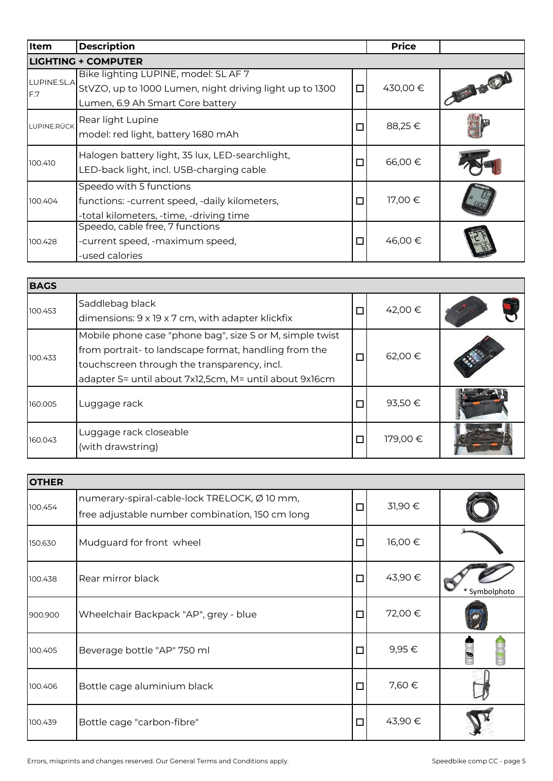| Item               | <b>Description</b>                                                                                                                  |        | <b>Price</b> |        |
|--------------------|-------------------------------------------------------------------------------------------------------------------------------------|--------|--------------|--------|
|                    | <b>LIGHTING + COMPUTER</b>                                                                                                          |        |              |        |
| LUPINE.SL.A<br>F.7 | Bike lighting LUPINE, model: SL AF 7<br>StVZO, up to 1000 Lumen, night driving light up to 1300<br>Lumen, 6.9 Ah Smart Core battery | $\Box$ | 430,00€      | JE LET |
| LUPINE.RÜCK        | Rear light Lupine<br>model: red light, battery 1680 mAh                                                                             | $\Box$ | 88,25€       |        |
| 100.410            | Halogen battery light, 35 lux, LED-searchlight,<br>LED-back light, incl. USB-charging cable                                         | $\Box$ | 66,00€       |        |
| 100.404            | Speedo with 5 functions<br>functions: -current speed, -daily kilometers,<br>-total kilometers, -time, -driving time                 | $\Box$ | 17,00 €      |        |
| 100.428            | Speedo, cable free, 7 functions<br>-current speed, -maximum speed,<br>-used calories                                                | $\Box$ | 46,00€       |        |

| <b>BAGS</b> |                                                                                                                                                                                                                            |        |         |  |
|-------------|----------------------------------------------------------------------------------------------------------------------------------------------------------------------------------------------------------------------------|--------|---------|--|
| 100.453     | Saddlebag black<br>dimensions: 9 x 19 x 7 cm, with adapter klickfix                                                                                                                                                        | $\Box$ | 42,00 € |  |
| 100.433     | Mobile phone case "phone bag", size S or M, simple twist<br>from portrait- to landscape format, handling from the<br>touchscreen through the transparency, incl.<br>adapter S= until about 7x12,5cm, M= until about 9x16cm | $\Box$ | 62,00 € |  |
| 160.005     | Luggage rack                                                                                                                                                                                                               | $\Box$ | 93,50€  |  |
| 160.043     | Luggage rack closeable<br>(with drawstring)                                                                                                                                                                                | $\Box$ | 179,00€ |  |

| <b>OTHER</b> |                                                                                                 |        |         |             |
|--------------|-------------------------------------------------------------------------------------------------|--------|---------|-------------|
| 100.454      | numerary-spiral-cable-lock TRELOCK, Ø 10 mm,<br>free adjustable number combination, 150 cm long | $\Box$ | 31,90€  |             |
| 150.630      | Mudguard for front wheel                                                                        | $\Box$ | 16,00€  |             |
| 100.438      | Rear mirror black                                                                               | $\Box$ | 43,90€  | Symbolphoto |
| 900.900      | Wheelchair Backpack "AP", grey - blue                                                           | $\Box$ | 72,00 € |             |
| 100.405      | Beverage bottle "AP" 750 ml                                                                     | $\Box$ | 9,95€   |             |
| 100.406      | Bottle cage aluminium black                                                                     | $\Box$ | 7,60 €  |             |
| 100.439      | Bottle cage "carbon-fibre"                                                                      | $\Box$ | 43,90 € |             |

Errors, misprints and changes reserved. Our General Terms and Conditions apply. Summer than the speedbike comp CC - page 5